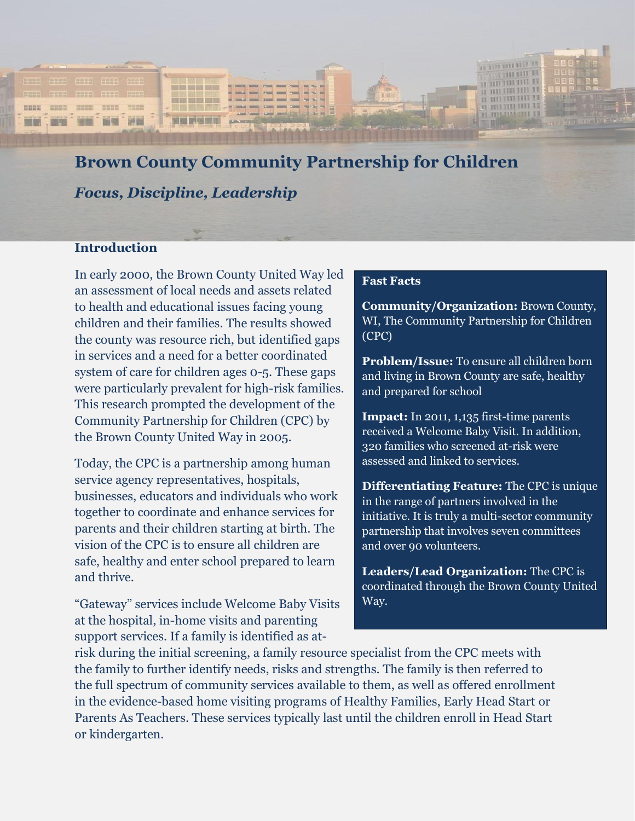

# **Brown County Community Partnership for Children**

*Focus, Discipline, Leadership*

#### **Introduction**

In early 2000, the Brown County United Way led an assessment of local needs and assets related to health and educational issues facing young children and their families. The results showed the county was resource rich, but identified gaps in services and a need for a better coordinated system of care for children ages 0-5. These gaps were particularly prevalent for high-risk families. This research prompted the development of the Community Partnership for Children (CPC) by the Brown County United Way in 2005.

Today, the CPC is a partnership among human service agency representatives, hospitals, businesses, educators and individuals who work together to coordinate and enhance services for parents and their children starting at birth. The vision of the CPC is to ensure all children are safe, healthy and enter school prepared to learn and thrive.

"Gateway" services include Welcome Baby Visits at the hospital, in-home visits and parenting support services. If a family is identified as at-

#### **Fast Facts**

**Community/Organization:** Brown County, WI, The Community Partnership for Children (CPC)

**Problem/Issue:** To ensure all children born and living in Brown County are safe, healthy and prepared for school

**Impact:** In 2011, 1,135 first-time parents received a Welcome Baby Visit. In addition, 320 families who screened at-risk were assessed and linked to services.

**Differentiating Feature:** The CPC is unique in the range of partners involved in the initiative. It is truly a multi-sector community partnership that involves seven committees and over 90 volunteers.

**Leaders/Lead Organization:** The CPC is coordinated through the Brown County United Way.

risk during the initial screening, a family resource specialist from the CPC meets with the family to further identify needs, risks and strengths. The family is then referred to the full spectrum of community services available to them, as well as offered enrollment in the evidence-based home visiting programs of Healthy Families, Early Head Start or Parents As Teachers. These services typically last until the children enroll in Head Start or kindergarten.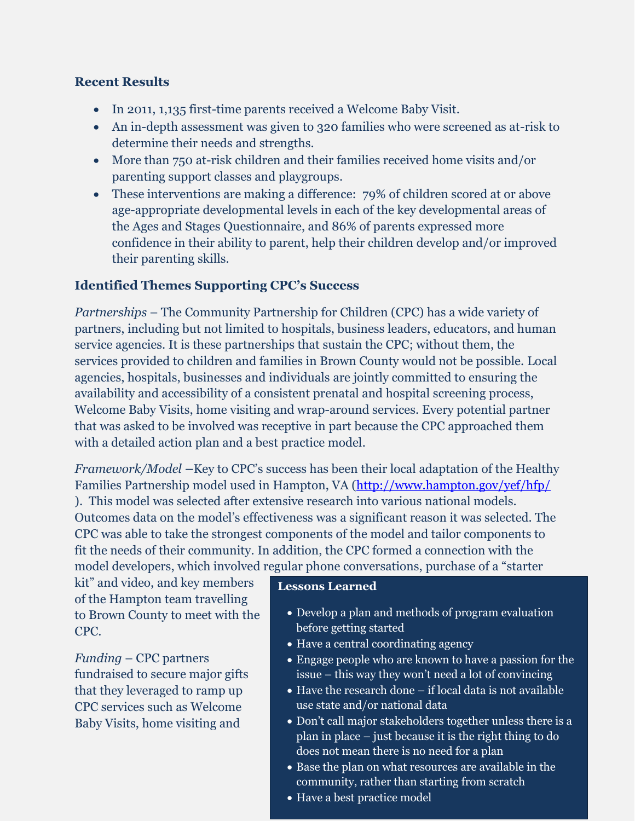#### **Recent Results**

- In 2011, 1,135 first-time parents received a Welcome Baby Visit.
- An in-depth assessment was given to 320 families who were screened as at-risk to determine their needs and strengths.
- More than 750 at-risk children and their families received home visits and/or parenting support classes and playgroups.
- These interventions are making a difference: 79% of children scored at or above age-appropriate developmental levels in each of the key developmental areas of the Ages and Stages Questionnaire, and 86% of parents expressed more confidence in their ability to parent, help their children develop and/or improved their parenting skills.

### **Identified Themes Supporting CPC's Success**

*Partnerships* – The Community Partnership for Children (CPC) has a wide variety of partners, including but not limited to hospitals, business leaders, educators, and human service agencies. It is these partnerships that sustain the CPC; without them, the services provided to children and families in Brown County would not be possible. Local agencies, hospitals, businesses and individuals are jointly committed to ensuring the availability and accessibility of a consistent prenatal and hospital screening process, Welcome Baby Visits, home visiting and wrap-around services. Every potential partner that was asked to be involved was receptive in part because the CPC approached them with a detailed action plan and a best practice model.

*Framework/Model –*Key to CPC's success has been their local adaptation of the Healthy Families Partnership model used in Hampton, VA [\(http://www.hampton.gov/yef/hfp/](http://www.hampton.gov/yef/hfp/) ). This model was selected after extensive research into various national models. Outcomes data on the model's effectiveness was a significant reason it was selected. The CPC was able to take the strongest components of the model and tailor components to fit the needs of their community. In addition, the CPC formed a connection with the model developers, which involved regular phone conversations, purchase of a "starter

kit" and video, and key members of the Hampton team travelling to Brown County to meet with the CPC.

*Funding* – CPC partners fundraised to secure major gifts that they leveraged to ramp up CPC services such as Welcome Baby Visits, home visiting and

#### **Lessons Learned**

- Develop a plan and methods of program evaluation before getting started
- Have a central coordinating agency
- Engage people who are known to have a passion for the issue – this way they won't need a lot of convincing
- Have the research done if local data is not available use state and/or national data
- Don't call major stakeholders together unless there is a plan in place – just because it is the right thing to do does not mean there is no need for a plan
- Base the plan on what resources are available in the community, rather than starting from scratch
- Have a best practice model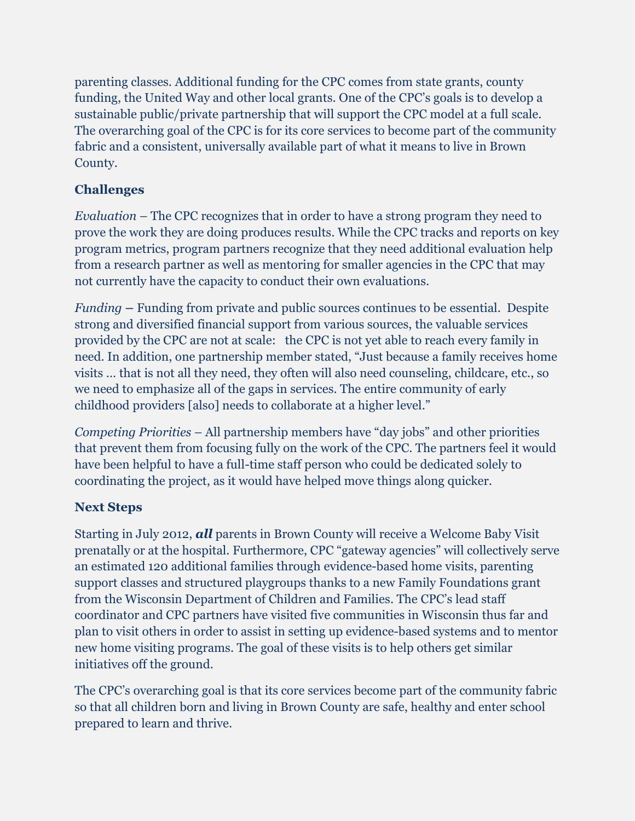parenting classes. Additional funding for the CPC comes from state grants, county funding, the United Way and other local grants. One of the CPC's goals is to develop a sustainable public/private partnership that will support the CPC model at a full scale. The overarching goal of the CPC is for its core services to become part of the community fabric and a consistent, universally available part of what it means to live in Brown County.

# **Challenges**

*Evaluation* – The CPC recognizes that in order to have a strong program they need to prove the work they are doing produces results. While the CPC tracks and reports on key program metrics, program partners recognize that they need additional evaluation help from a research partner as well as mentoring for smaller agencies in the CPC that may not currently have the capacity to conduct their own evaluations.

*Funding –* Funding from private and public sources continues to be essential. Despite strong and diversified financial support from various sources, the valuable services provided by the CPC are not at scale: the CPC is not yet able to reach every family in need. In addition, one partnership member stated, "Just because a family receives home visits … that is not all they need, they often will also need counseling, childcare, etc., so we need to emphasize all of the gaps in services. The entire community of early childhood providers [also] needs to collaborate at a higher level."

*Competing Priorities* – All partnership members have "day jobs" and other priorities that prevent them from focusing fully on the work of the CPC. The partners feel it would have been helpful to have a full-time staff person who could be dedicated solely to coordinating the project, as it would have helped move things along quicker.

# **Next Steps**

Starting in July 2012, *all* parents in Brown County will receive a Welcome Baby Visit prenatally or at the hospital. Furthermore, CPC "gateway agencies" will collectively serve an estimated 120 additional families through evidence-based home visits, parenting support classes and structured playgroups thanks to a new Family Foundations grant from the Wisconsin Department of Children and Families. The CPC's lead staff coordinator and CPC partners have visited five communities in Wisconsin thus far and plan to visit others in order to assist in setting up evidence-based systems and to mentor new home visiting programs. The goal of these visits is to help others get similar initiatives off the ground.

The CPC's overarching goal is that its core services become part of the community fabric so that all children born and living in Brown County are safe, healthy and enter school prepared to learn and thrive.